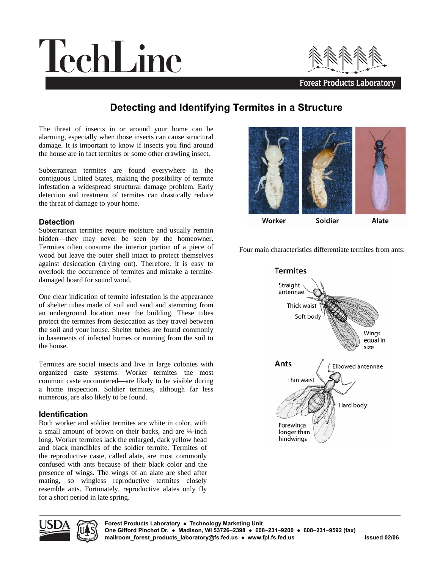# TechLine



## **Detecting and Identifying Termites in a Structure**

The threat of insects in or around your home can be alarming, especially when those insects can cause structural damage. It is important to know if insects you find around the house are in fact termites or some other crawling insect.

Subterranean termites are found everywhere in the contiguous United States, making the possibility of termite infestation a widespread structural damage problem. Early detection and treatment of termites can drastically reduce the threat of damage to your home.

#### **Detection**

Subterranean termites require moisture and usually remain hidden—they may never be seen by the homeowner. Termites often consume the interior portion of a piece of wood but leave the outer shell intact to protect themselves against desiccation (drying out). Therefore, it is easy to overlook the occurrence of termites and mistake a termitedamaged board for sound wood.

One clear indication of termite infestation is the appearance of shelter tubes made of soil and sand and stemming from an underground location near the building. These tubes protect the termites from desiccation as they travel between the soil and your house. Shelter tubes are found commonly in basements of infected homes or running from the soil to the house.

Termites are social insects and live in large colonies with organized caste systems. Worker termites—the most common caste encountered—are likely to be visible during a home inspection. Soldier termites, although far less numerous, are also likely to be found.

#### **Identification**

Both worker and soldier termites are white in color, with a small amount of brown on their backs, and are ¼-inch long. Worker termites lack the enlarged, dark yellow head and black mandibles of the soldier termite. Termites of the reproductive caste, called alate, are most commonly confused with ants because of their black color and the presence of wings. The wings of an alate are shed after mating, so wingless reproductive termites closely resemble ants. Fortunately, reproductive alates only fly for a short period in late spring.



Worker

Four main characteristics differentiate termites from ants: